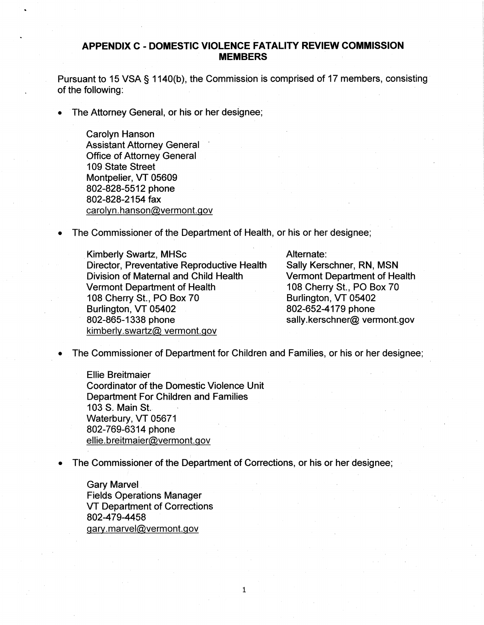## APPENDIX C - DOMESTIC VIOLENCE FATALITY REVIEW COMMISSION **MEMBERS**

Pursuant to 15 VSA § 1140(b), the Commission is comprised of 17 members, consisting of the following:

The Attorney General, or his or her designee;

Carolyn Hanson Assistant Attorney General Office of Attorney General 109 State street Montpelier, VT 05609 802-828-5512 phone 802-828-2154 fax carolyn.hanson@vermont.gov

The Commissioner of the Department of Health, or his or her designee;

Kimberly Swartz, MHSc Director, Preventative Reproductive Health Division of Maternal and Child. Health Vermont Department of Health 108 Cherry St., PO Box 70 Burlington, VT 05402 802-865-1338 phone kimberly.swartz@ vermont.gov

## Alternate:

Sally Kerschner, RN, MSN Vermont Department of Health 108 Cherry St., PO Box 70 Burlington, VT 05402 802-652-4179 phone sally.kerschner@ vermont.gov

The Commissioner of Department for Children and Families, or his or her designee;

Elie Breitmaier Coordinator of the Domestic Violence Unit Department For Children and Families 103 S. Main St. Waterbury, VT 05671 802-769-6314 phone <u>ellie.breitmaier@vermont.gov</u>

The Commissioner of the Department of Corrections, or his or her designee;

 $\mathbf{1}$ 

Gary Marvel Fields Operations Manager VT Department of Corrections 802-479-4458 gary.marvel@vermont.gov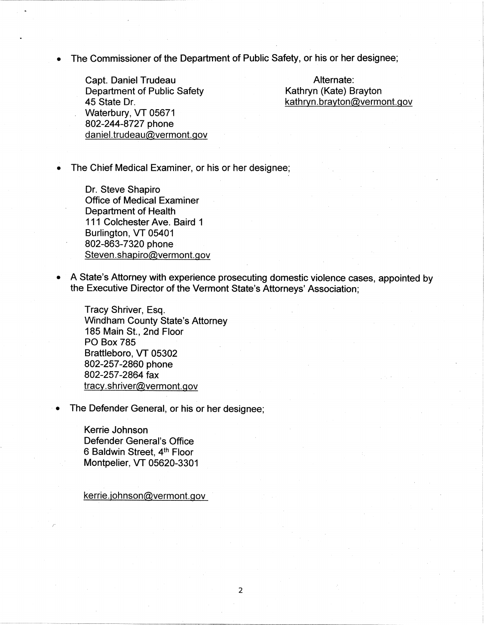The Commissioner of the Department of Public Safety, or his or her designee;

Capt. Daniel Trudeau Department of Public Safety 45 State Dr. Waterbury, VT 05671 802-244-8727 phone daniel.trudeau@vermont.gov

Alternate: Kathryn (Kate) Brayton kathryn.brayton@vermont.gov

The Chief Medical Examiner, or his or her designee;

Dr. Steve Shapiro Office of Medical Examiner Department of Health 111 Colchester Ave. Baird 1 Burlington, VT 05401 802-863-7320 phone Steven.shapiro@vermont.gov

• A State's Attorney with experience prosecuting damestic violence cases, appointed by the Executive Director of the Vermont State's Attorneys' Association;

Tracy Shriver, Esq. Windham County State's Attorney 185 Main St., 2nd Floor **PO Box 785** Brattleboro, VT 05302 802-257-2860 phone 802-257-2864 fax  $\frac{\text{tracy.shriver@vermont.gov}}{}$ 

The Defender General, or his or her designee;

Kerrie Johnson Defender General's Office 6 Baldwin Street, 4<sup>th</sup> Floor Montpelier, VT 05620-3301

kerrie.johnson@vermont.gov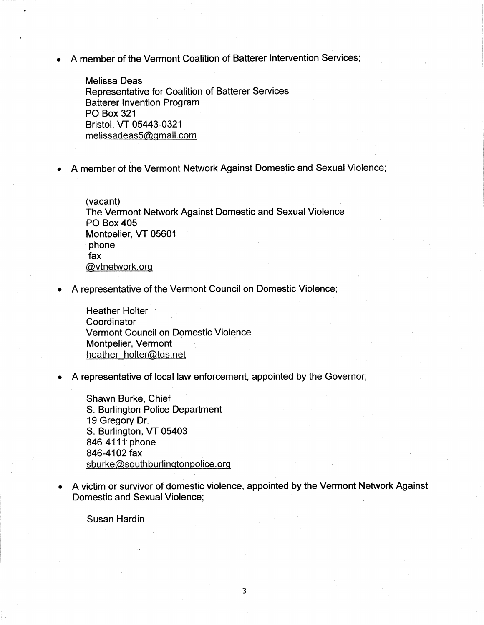A member of the Vermont Coalition of Batterer Intervention Services;

**Melissa Deas** Representative for Coalition of Batterer Services Batterer Invention Program PQ Box 321 Bristol, VT 05443-0321 melissadeas5@gmail.com

A member of the Vermont Network Against Domestic and Sexual Violence;

 $(vacant)$ The Vermont Network Against Domestic and Sexual Violence **PO Box 405** Montpelier, VT 05601 phone fax @vtnetwork.org

A representative of the Vermont Council on Domestic Violence;

Heather Holter **Coordinator** Vermont Council on Domestic Violence Montpelier, Vermont heather holter@tds.net

A representative of local law enforcement, appointed by the Governor;

Shawn Burke, Chief S. Burlington Police Department 19 Gregory Dr. S. Burlington, VT 05403 846-4111 phone 846-4102 fax sburke@southburlingtonpolice.org

A victim or survivor of domestic violence, appointed by the Vermont Network Against Domestic and Sexual Violence;

Susan Hardin